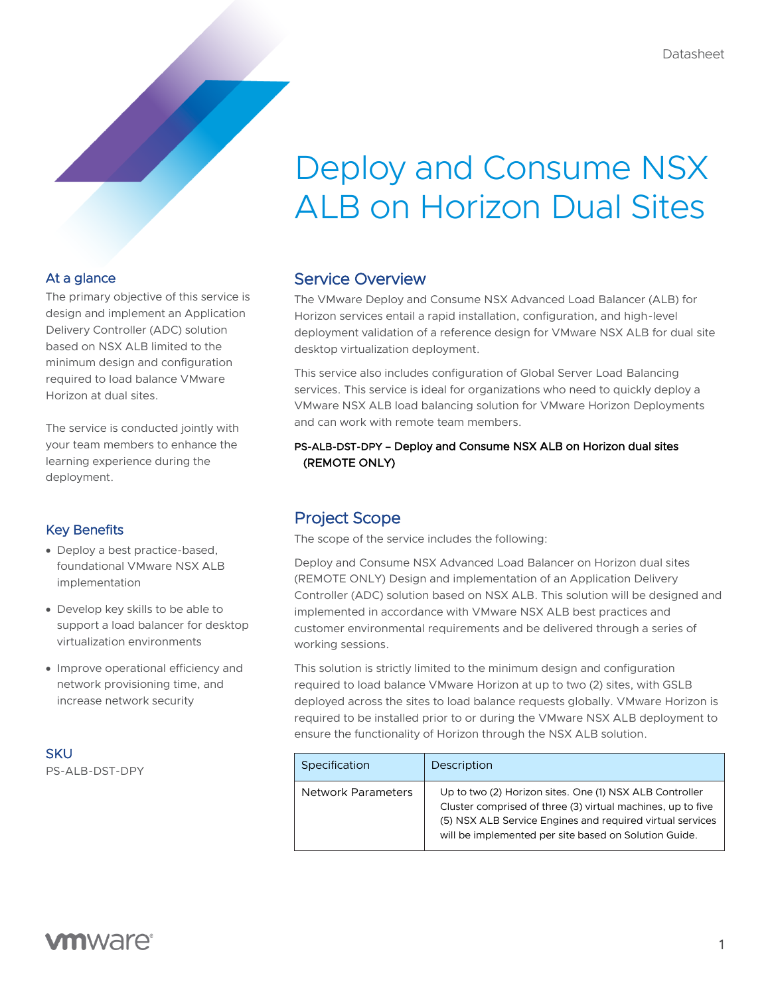# Deploy and Consume NSX ALB on Horizon Dual Sites

### At a glance

The primary objective of this service is design and implement an Application Delivery Controller (ADC) solution based on NSX ALB limited to the minimum design and configuration required to load balance VMware Horizon at dual sites.

The service is conducted jointly with your team members to enhance the learning experience during the deployment.

### Key Benefits

- Deploy a best practice-based, foundational VMware NSX ALB implementation
- Develop key skills to be able to support a load balancer for desktop virtualization environments
- Improve operational efficiency and network provisioning time, and increase network security

**SKU** 

PS-ALB-DST-DPY

### Service Overview

The VMware Deploy and Consume NSX Advanced Load Balancer (ALB) for Horizon services entail a rapid installation, configuration, and high-level deployment validation of a reference design for VMware NSX ALB for dual site desktop virtualization deployment.

This service also includes configuration of Global Server Load Balancing services. This service is ideal for organizations who need to quickly deploy a VMware NSX ALB load balancing solution for VMware Horizon Deployments and can work with remote team members.

#### PS-ALB-DST-DPY – Deploy and Consume NSX ALB on Horizon dual sites (REMOTE ONLY)

### Project Scope

The scope of the service includes the following:

Deploy and Consume NSX Advanced Load Balancer on Horizon dual sites (REMOTE ONLY) Design and implementation of an Application Delivery Controller (ADC) solution based on NSX ALB. This solution will be designed and implemented in accordance with VMware NSX ALB best practices and customer environmental requirements and be delivered through a series of working sessions.

This solution is strictly limited to the minimum design and configuration required to load balance VMware Horizon at up to two (2) sites, with GSLB deployed across the sites to load balance requests globally. VMware Horizon is required to be installed prior to or during the VMware NSX ALB deployment to ensure the functionality of Horizon through the NSX ALB solution.

| Specification             | Description                                                                                                                                                                                                                                  |
|---------------------------|----------------------------------------------------------------------------------------------------------------------------------------------------------------------------------------------------------------------------------------------|
| <b>Network Parameters</b> | Up to two (2) Horizon sites. One (1) NSX ALB Controller<br>Cluster comprised of three (3) virtual machines, up to five<br>(5) NSX ALB Service Engines and required virtual services<br>will be implemented per site based on Solution Guide. |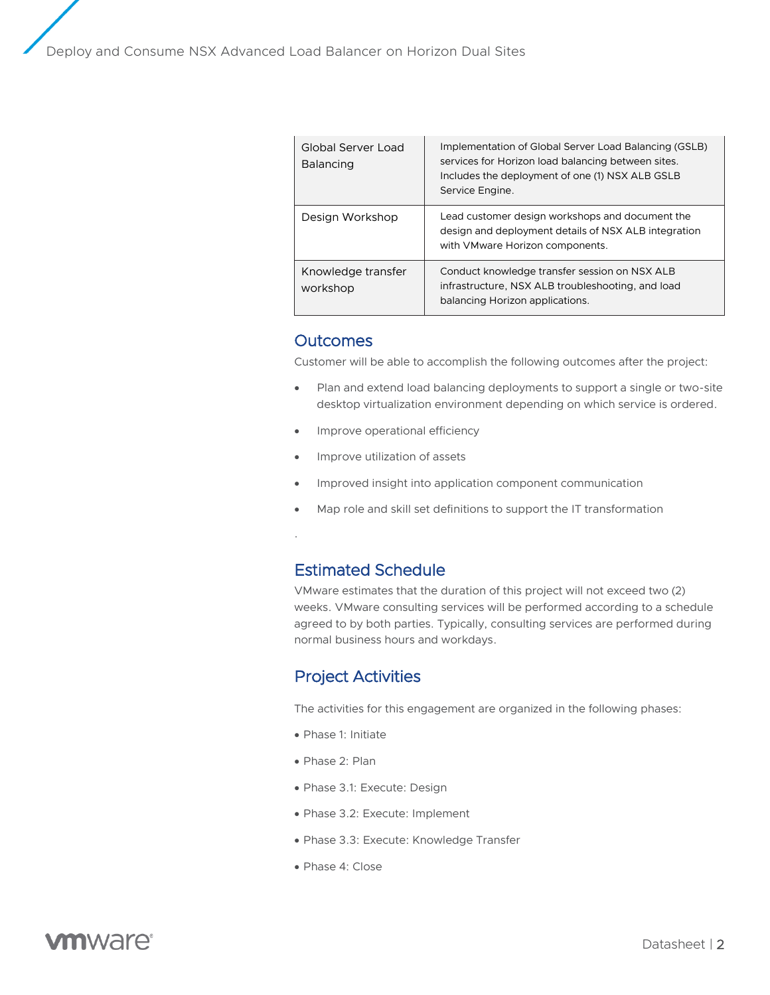| Global Server Load<br><b>Balancing</b> | Implementation of Global Server Load Balancing (GSLB)<br>services for Horizon load balancing between sites.<br>Includes the deployment of one (1) NSX ALB GSLB<br>Service Engine. |
|----------------------------------------|-----------------------------------------------------------------------------------------------------------------------------------------------------------------------------------|
| Design Workshop                        | Lead customer design workshops and document the<br>design and deployment details of NSX ALB integration<br>with VMware Horizon components.                                        |
| Knowledge transfer<br>workshop         | Conduct knowledge transfer session on NSX ALB<br>infrastructure, NSX ALB troubleshooting, and load<br>balancing Horizon applications.                                             |

#### **Outcomes**

.

Customer will be able to accomplish the following outcomes after the project:

- Plan and extend load balancing deployments to support a single or two-site desktop virtualization environment depending on which service is ordered.
- Improve operational efficiency
- Improve utilization of assets
- Improved insight into application component communication
- Map role and skill set definitions to support the IT transformation

### Estimated Schedule

VMware estimates that the duration of this project will not exceed two (2) weeks. VMware consulting services will be performed according to a schedule agreed to by both parties. Typically, consulting services are performed during normal business hours and workdays.

### Project Activities

The activities for this engagement are organized in the following phases:

- Phase 1: Initiate
- Phase 2: Plan
- Phase 3.1: Execute: Design
- Phase 3.2: Execute: Implement
- Phase 3.3: Execute: Knowledge Transfer
- Phase 4: Close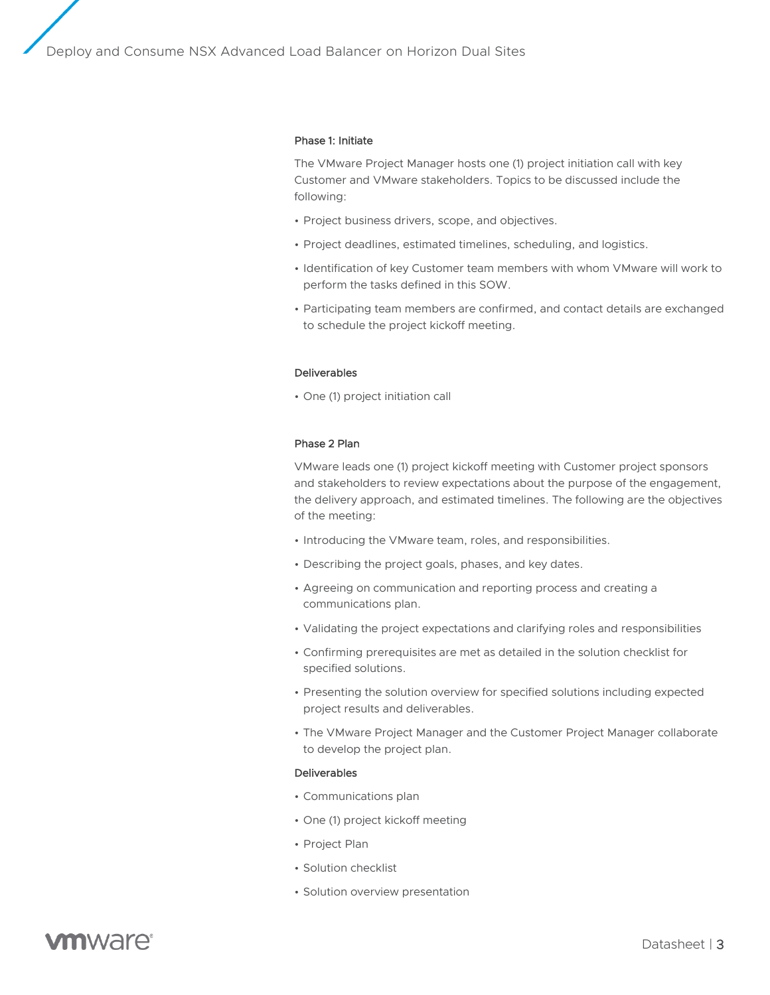Deploy and Consume NSX Advanced Load Balancer on Horizon Dual Sites

#### Phase 1: Initiate

The VMware Project Manager hosts one (1) project initiation call with key Customer and VMware stakeholders. Topics to be discussed include the following:

- Project business drivers, scope, and objectives.
- Project deadlines, estimated timelines, scheduling, and logistics.
- Identification of key Customer team members with whom VMware will work to perform the tasks defined in this SOW.
- Participating team members are confirmed, and contact details are exchanged to schedule the project kickoff meeting.

#### Deliverables

• One (1) project initiation call

#### Phase 2 Plan

VMware leads one (1) project kickoff meeting with Customer project sponsors and stakeholders to review expectations about the purpose of the engagement, the delivery approach, and estimated timelines. The following are the objectives of the meeting:

- Introducing the VMware team, roles, and responsibilities.
- Describing the project goals, phases, and key dates.
- Agreeing on communication and reporting process and creating a communications plan.
- Validating the project expectations and clarifying roles and responsibilities
- Confirming prerequisites are met as detailed in the solution checklist for specified solutions.
- Presenting the solution overview for specified solutions including expected project results and deliverables.
- The VMware Project Manager and the Customer Project Manager collaborate to develop the project plan.

#### Deliverables

- Communications plan
- One (1) project kickoff meeting
- Project Plan
- Solution checklist
- Solution overview presentation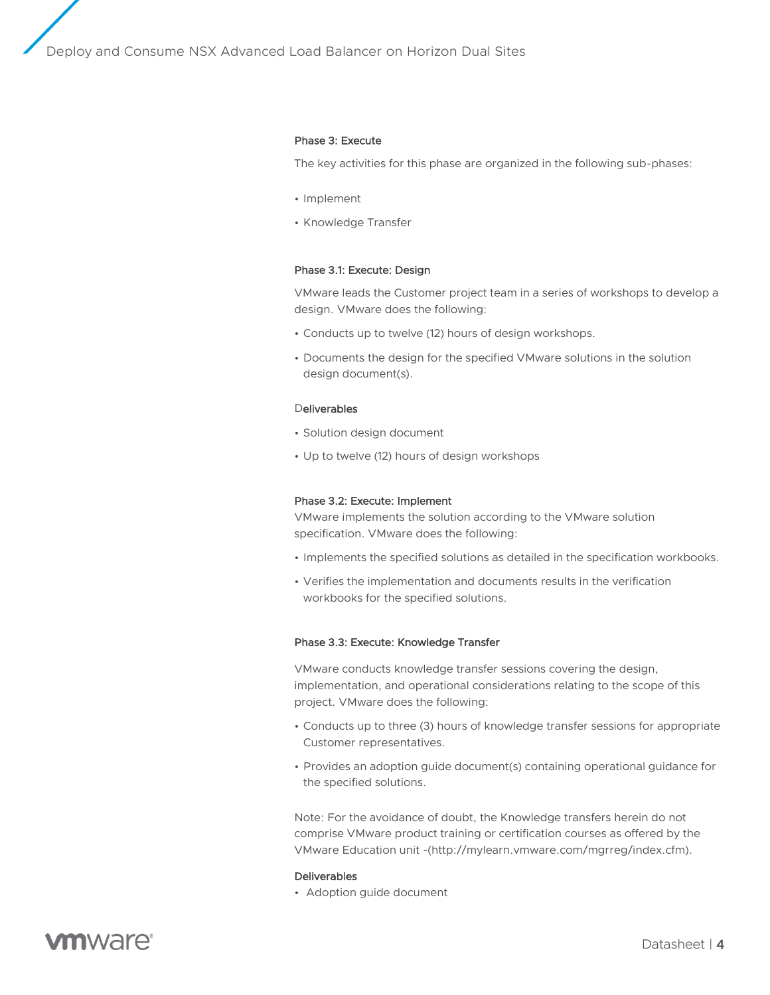Deploy and Consume NSX Advanced Load Balancer on Horizon Dual Sites

#### Phase 3: Execute

The key activities for this phase are organized in the following sub-phases:

- Implement
- Knowledge Transfer

#### Phase 3.1: Execute: Design

VMware leads the Customer project team in a series of workshops to develop a design. VMware does the following:

- Conducts up to twelve (12) hours of design workshops.
- Documents the design for the specified VMware solutions in the solution design document(s).

#### **Deliverables**

- Solution design document
- Up to twelve (12) hours of design workshops

#### Phase 3.2: Execute: Implement

VMware implements the solution according to the VMware solution specification. VMware does the following:

- Implements the specified solutions as detailed in the specification workbooks.
- Verifies the implementation and documents results in the verification workbooks for the specified solutions.

#### Phase 3.3: Execute: Knowledge Transfer

VMware conducts knowledge transfer sessions covering the design, implementation, and operational considerations relating to the scope of this project. VMware does the following:

- Conducts up to three (3) hours of knowledge transfer sessions for appropriate Customer representatives.
- Provides an adoption guide document(s) containing operational guidance for the specified solutions.

Note: For the avoidance of doubt, the Knowledge transfers herein do not comprise VMware product training or certification courses as offered by the VMware Education unit -(http://mylearn.vmware.com/mgrreg/index.cfm).

#### Deliverables

• Adoption guide document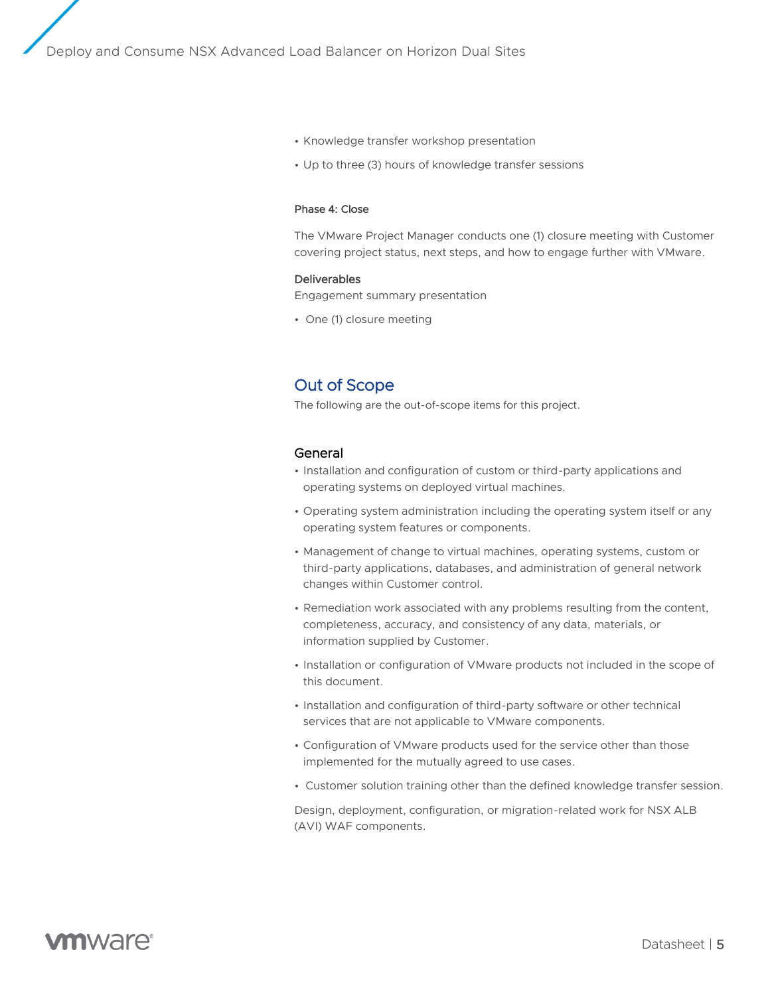- Knowledge transfer workshop presentation
- Up to three (3) hours of knowledge transfer sessions

#### Phase 4: Close

The VMware Project Manager conducts one (1) closure meeting with Customer covering project status, next steps, and how to engage further with VMware.

#### Deliverables

Engagement summary presentation

• One (1) closure meeting

### Out of Scope

The following are the out-of-scope items for this project.

#### General

- Installation and configuration of custom or third-party applications and operating systems on deployed virtual machines.
- Operating system administration including the operating system itself or any operating system features or components.
- Management of change to virtual machines, operating systems, custom or third-party applications, databases, and administration of general network changes within Customer control.
- Remediation work associated with any problems resulting from the content, completeness, accuracy, and consistency of any data, materials, or information supplied by Customer.
- Installation or configuration of VMware products not included in the scope of this document.
- Installation and configuration of third-party software or other technical services that are not applicable to VMware components.
- Configuration of VMware products used for the service other than those implemented for the mutually agreed to use cases.
- Customer solution training other than the defined knowledge transfer session.

Design, deployment, configuration, or migration-related work for NSX ALB (AVI) WAF components.